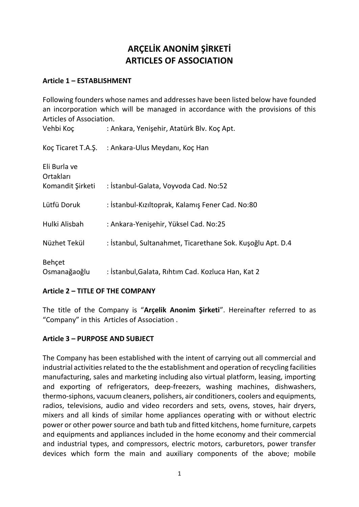# **ARÇELİK ANONİM ŞİRKETİ ARTICLES OF ASSOCIATION**

# **Article 1 – ESTABLISHMENT**

Following founders whose names and addresses have been listed below have founded an incorporation which will be managed in accordance with the provisions of this Articles of Association.

| Vehbi Koç                                     | : Ankara, Yenişehir, Atatürk Blv. Koç Apt.                 |
|-----------------------------------------------|------------------------------------------------------------|
| Koç Ticaret T.A.Ş.                            | : Ankara-Ulus Meydanı, Koç Han                             |
| Eli Burla ve<br>Ortakları<br>Komandit Şirketi | : İstanbul-Galata, Voyvoda Cad. No:52                      |
| Lütfü Doruk                                   | : İstanbul-Kızıltoprak, Kalamış Fener Cad. No:80           |
| Hulki Alisbah                                 | : Ankara-Yenişehir, Yüksel Cad. No:25                      |
| Nüzhet Tekül                                  | : İstanbul, Sultanahmet, Ticarethane Sok. Kuşoğlu Apt. D.4 |
| Behçet<br>Osmanağaoğlu                        | : İstanbul, Galata, Rıhtım Cad. Kozluca Han, Kat 2         |

## **Article 2 – TITLE OF THE COMPANY**

The title of the Company is "**Arçelik Anonim Şirketi**". Hereinafter referred to as "Company" in this Articles of Association .

## **Article 3 – PURPOSE AND SUBJECT**

The Company has been established with the intent of carrying out all commercial and industrial activities related to the the establishment and operation of recycling facilities manufacturing, sales and marketing including also virtual platform, leasing, importing and exporting of refrigerators, deep-freezers, washing machines, dishwashers, thermo-siphons, vacuum cleaners, polishers, air conditioners, coolers and equipments, radios, televisions, audio and video recorders and sets, ovens, stoves, hair dryers, mixers and all kinds of similar home appliances operating with or without electric power or other power source and bath tub and fitted kitchens, home furniture, carpets and equipments and appliances included in the home economy and their commercial and industrial types, and compressors, electric motors, carburetors, power transfer devices which form the main and auxiliary components of the above; mobile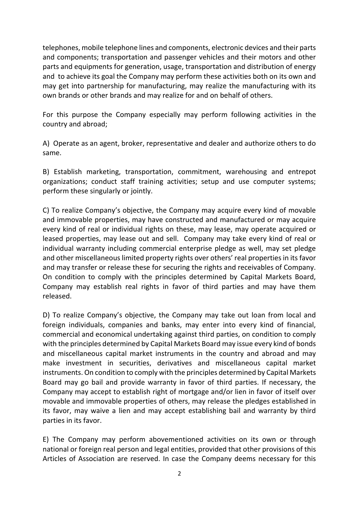telephones, mobile telephone lines and components, electronic devices and their parts and components; transportation and passenger vehicles and their motors and other parts and equipments for generation, usage, transportation and distribution of energy and to achieve its goal the Company may perform these activities both on its own and may get into partnership for manufacturing, may realize the manufacturing with its own brands or other brands and may realize for and on behalf of others.

For this purpose the Company especially may perform following activities in the country and abroad;

A) Operate as an agent, broker, representative and dealer and authorize others to do same.

B) Establish marketing, transportation, commitment, warehousing and entrepot organizations; conduct staff training activities; setup and use computer systems; perform these singularly or jointly.

C) To realize Company's objective, the Company may acquire every kind of movable and immovable properties, may have constructed and manufactured or may acquire every kind of real or individual rights on these, may lease, may operate acquired or leased properties, may lease out and sell. Company may take every kind of real or individual warranty including commercial enterprise pledge as well, may set pledge and other miscellaneous limited property rights over others' real properties in its favor and may transfer or release these for securing the rights and receivables of Company. On condition to comply with the principles determined by Capital Markets Board, Company may establish real rights in favor of third parties and may have them released.

D) To realize Company's objective, the Company may take out loan from local and foreign individuals, companies and banks, may enter into every kind of financial, commercial and economical undertaking against third parties, on condition to comply with the principles determined by Capital Markets Board may issue every kind of bonds and miscellaneous capital market instruments in the country and abroad and may make investment in securities, derivatives and miscellaneous capital market instruments. On condition to comply with the principles determined by Capital Markets Board may go bail and provide warranty in favor of third parties. If necessary, the Company may accept to establish right of mortgage and/or lien in favor of itself over movable and immovable properties of others, may release the pledges established in its favor, may waive a lien and may accept establishing bail and warranty by third parties in its favor.

E) The Company may perform abovementioned activities on its own or through national or foreign real person and legal entities, provided that other provisions of this Articles of Association are reserved. In case the Company deems necessary for this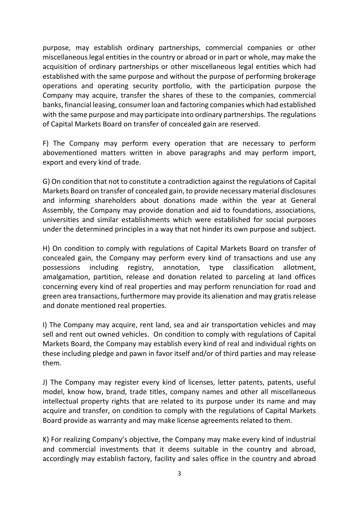purpose, may establish ordinary partnerships, commercial companies or other miscellaneous legal entities in the country or abroad or in part or whole, may make the acquisition of ordinary partnerships or other miscellaneous legal entities which had established with the same purpose and without the purpose of performing brokerage operations and operating security portfolio, with the participation purpose the Company may acquire, transfer the shares of these to the companies, commercial banks, financial leasing, consumer loan and factoring companies which had established with the same purpose and may participate into ordinary partnerships. The regulations of Capital Markets Board on transfer of concealed gain are reserved.

F) The Company may perform every operation that are necessary to perform abovementioned matters written in above paragraphs and may perform import, export and every kind of trade.

G) On condition that not to constitute a contradiction against the regulations of Capital Markets Board on transfer of concealed gain, to provide necessary material disclosures and informing shareholders about donations made within the year at General Assembly, the Company may provide donation and aid to foundations, associations, universities and similar establishments which were established for social purposes under the determined principles in a way that not hinder its own purpose and subject.

H) On condition to comply with regulations of Capital Markets Board on transfer of concealed gain, the Company may perform every kind of transactions and use any possessions including registry, annotation, type classification allotment, amalgamation, partition, release and donation related to parceling at land offices concerning every kind of real properties and may perform renunciation for road and green area transactions, furthermore may provide its alienation and may gratis release and donate mentioned real properties.

I) The Company may acquire, rent land, sea and air transportation vehicles and may sell and rent out owned vehicles. On condition to comply with regulations of Capital Markets Board, the Company may establish every kind of real and individual rights on these including pledge and pawn in favor itself and/or of third parties and may release them.

J) The Company may register every kind of licenses, letter patents, patents, useful model, know how, brand, trade titles, company names and other all miscellaneous intellectual property rights that are related to its purpose under its name and may acquire and transfer, on condition to comply with the regulations of Capital Markets Board provide as warranty and may make license agreements related to them.

K) For realizing Company's objective, the Company may make every kind of industrial and commercial investments that it deems suitable in the country and abroad, accordingly may establish factory, facility and sales office in the country and abroad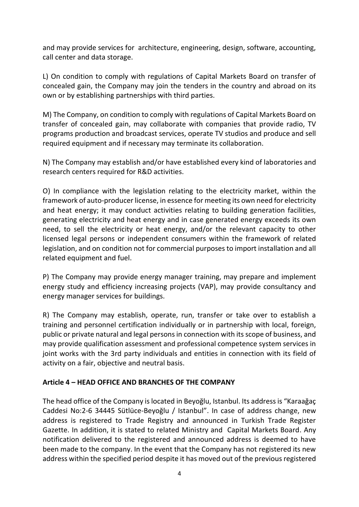and may provide services for architecture, engineering, design, software, accounting, call center and data storage.

L) On condition to comply with regulations of Capital Markets Board on transfer of concealed gain, the Company may join the tenders in the country and abroad on its own or by establishing partnerships with third parties.

M) The Company, on condition to comply with regulations of Capital Markets Board on transfer of concealed gain, may collaborate with companies that provide radio, TV programs production and broadcast services, operate TV studios and produce and sell required equipment and if necessary may terminate its collaboration.

N) The Company may establish and/or have established every kind of laboratories and research centers required for R&D activities.

O) In compliance with the legislation relating to the electricity market, within the framework of auto-producer license, in essence for meeting its own need for electricity and heat energy; it may conduct activities relating to building generation facilities, generating electricity and heat energy and in case generated energy exceeds its own need, to sell the electricity or heat energy, and/or the relevant capacity to other licensed legal persons or independent consumers within the framework of related legislation, and on condition not for commercial purposes to import installation and all related equipment and fuel.

P) The Company may provide energy manager training, may prepare and implement energy study and efficiency increasing projects (VAP), may provide consultancy and energy manager services for buildings.

R) The Company may establish, operate, run, transfer or take over to establish a training and personnel certification individually or in partnership with local, foreign, public or private natural and legal persons in connection with its scope of business, and may provide qualification assessment and professional competence system services in joint works with the 3rd party individuals and entities in connection with its field of activity on a fair, objective and neutral basis.

## **Article 4 – HEAD OFFICE AND BRANCHES OF THE COMPANY**

The head office of the Company is located in Beyoğlu, Istanbul. Its address is "Karaağaç Caddesi No:2-6 34445 Sütlüce-Beyoğlu / Istanbul". In case of address change, new address is registered to Trade Registry and announced in Turkish Trade Register Gazette. In addition, it is stated to related Ministry and Capital Markets Board. Any notification delivered to the registered and announced address is deemed to have been made to the company. In the event that the Company has not registered its new address within the specified period despite it has moved out of the previous registered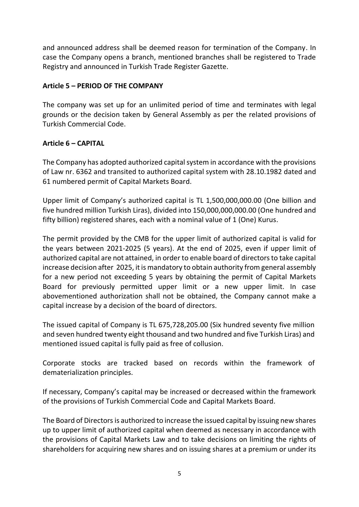and announced address shall be deemed reason for termination of the Company. In case the Company opens a branch, mentioned branches shall be registered to Trade Registry and announced in Turkish Trade Register Gazette.

# **Article 5 – PERIOD OF THE COMPANY**

The company was set up for an unlimited period of time and terminates with legal grounds or the decision taken by General Assembly as per the related provisions of Turkish Commercial Code.

# **Article 6 – CAPITAL**

The Company has adopted authorized capital system in accordance with the provisions of Law nr. 6362 and transited to authorized capital system with 28.10.1982 dated and 61 numbered permit of Capital Markets Board.

Upper limit of Company's authorized capital is TL 1,500,000,000.00 (One billion and five hundred million Turkish Liras), divided into 150,000,000,000.00 (One hundred and fifty billion) registered shares, each with a nominal value of 1 (One) Kurus.

The permit provided by the CMB for the upper limit of authorized capital is valid for the years between 2021-2025 (5 years). At the end of 2025, even if upper limit of authorized capital are not attained, in order to enable board of directors to take capital increase decision after 2025, it is mandatory to obtain authority from general assembly for a new period not exceeding 5 years by obtaining the permit of Capital Markets Board for previously permitted upper limit or a new upper limit. In case abovementioned authorization shall not be obtained, the Company cannot make a capital increase by a decision of the board of directors.

The issued capital of Company is TL 675,728,205.00 (Six hundred seventy five million and seven hundred twenty eight thousand and two hundred and five Turkish Liras) and mentioned issued capital is fully paid as free of collusion.

Corporate stocks are tracked based on records within the framework of dematerialization principles.

If necessary, Company's capital may be increased or decreased within the framework of the provisions of Turkish Commercial Code and Capital Markets Board.

The Board of Directors is authorized to increase the issued capital by issuing new shares up to upper limit of authorized capital when deemed as necessary in accordance with the provisions of Capital Markets Law and to take decisions on limiting the rights of shareholders for acquiring new shares and on issuing shares at a premium or under its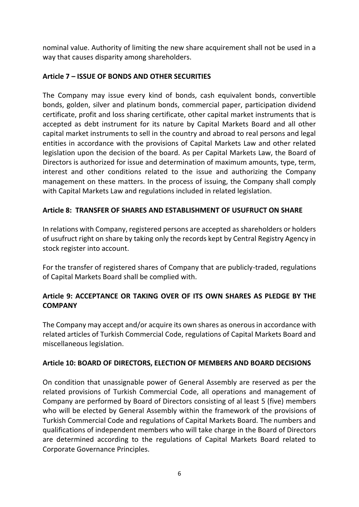nominal value. Authority of limiting the new share acquirement shall not be used in a way that causes disparity among shareholders.

# **Article 7 – ISSUE OF BONDS AND OTHER SECURITIES**

The Company may issue every kind of bonds, cash equivalent bonds, convertible bonds, golden, silver and platinum bonds, commercial paper, participation dividend certificate, profit and loss sharing certificate, other capital market instruments that is accepted as debt instrument for its nature by Capital Markets Board and all other capital market instruments to sell in the country and abroad to real persons and legal entities in accordance with the provisions of Capital Markets Law and other related legislation upon the decision of the board. As per Capital Markets Law, the Board of Directors is authorized for issue and determination of maximum amounts, type, term, interest and other conditions related to the issue and authorizing the Company management on these matters. In the process of issuing, the Company shall comply with Capital Markets Law and regulations included in related legislation.

# **Article 8: TRANSFER OF SHARES AND ESTABLISHMENT OF USUFRUCT ON SHARE**

In relations with Company, registered persons are accepted as shareholders or holders of usufruct right on share by taking only the records kept by Central Registry Agency in stock register into account.

For the transfer of registered shares of Company that are publicly-traded, regulations of Capital Markets Board shall be complied with.

# **Article 9: ACCEPTANCE OR TAKING OVER OF ITS OWN SHARES AS PLEDGE BY THE COMPANY**

The Company may accept and/or acquire its own shares as onerous in accordance with related articles of Turkish Commercial Code, regulations of Capital Markets Board and miscellaneous legislation.

## **Article 10: BOARD OF DIRECTORS, ELECTION OF MEMBERS AND BOARD DECISIONS**

On condition that unassignable power of General Assembly are reserved as per the related provisions of Turkish Commercial Code, all operations and management of Company are performed by Board of Directors consisting of al least 5 (five) members who will be elected by General Assembly within the framework of the provisions of Turkish Commercial Code and regulations of Capital Markets Board. The numbers and qualifications of independent members who will take charge in the Board of Directors are determined according to the regulations of Capital Markets Board related to Corporate Governance Principles.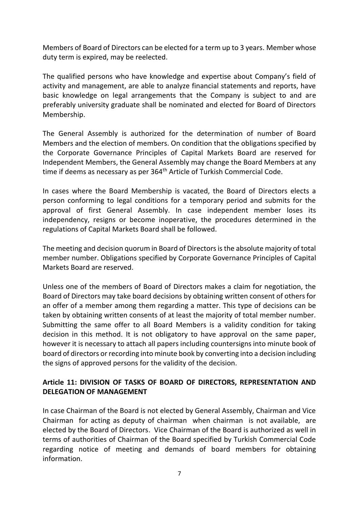Members of Board of Directors can be elected for a term up to 3 years. Member whose duty term is expired, may be reelected.

The qualified persons who have knowledge and expertise about Company's field of activity and management, are able to analyze financial statements and reports, have basic knowledge on legal arrangements that the Company is subject to and are preferably university graduate shall be nominated and elected for Board of Directors Membership.

The General Assembly is authorized for the determination of number of Board Members and the election of members. On condition that the obligations specified by the Corporate Governance Principles of Capital Markets Board are reserved for Independent Members, the General Assembly may change the Board Members at any time if deems as necessary as per 364<sup>th</sup> Article of Turkish Commercial Code.

In cases where the Board Membership is vacated, the Board of Directors elects a person conforming to legal conditions for a temporary period and submits for the approval of first General Assembly. In case independent member loses its independency, resigns or become inoperative, the procedures determined in the regulations of Capital Markets Board shall be followed.

The meeting and decision quorum in Board of Directors is the absolute majority of total member number. Obligations specified by Corporate Governance Principles of Capital Markets Board are reserved.

Unless one of the members of Board of Directors makes a claim for negotiation, the Board of Directors may take board decisions by obtaining written consent of others for an offer of a member among them regarding a matter. This type of decisions can be taken by obtaining written consents of at least the majority of total member number. Submitting the same offer to all Board Members is a validity condition for taking decision in this method. It is not obligatory to have approval on the same paper, however it is necessary to attach all papers including countersigns into minute book of board of directors or recording into minute book by converting into a decision including the signs of approved persons for the validity of the decision.

# **Article 11: DIVISION OF TASKS OF BOARD OF DIRECTORS, REPRESENTATION AND DELEGATION OF MANAGEMENT**

In case Chairman of the Board is not elected by General Assembly, Chairman and Vice Chairman for acting as deputy of chairman when chairman is not available, are elected by the Board of Directors. Vice Chairman of the Board is authorized as well in terms of authorities of Chairman of the Board specified by Turkish Commercial Code regarding notice of meeting and demands of board members for obtaining information.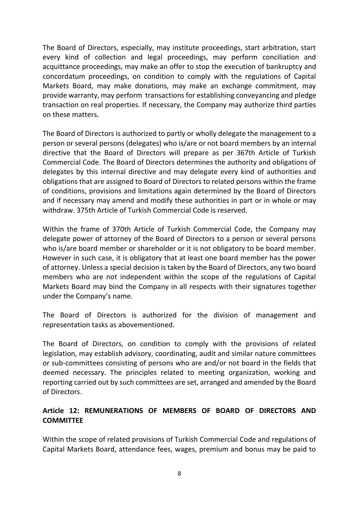The Board of Directors, especially, may institute proceedings, start arbitration, start every kind of collection and legal proceedings, may perform conciliation and acquittance proceedings, may make an offer to stop the execution of bankruptcy and concordatum proceedings, on condition to comply with the regulations of Capital Markets Board, may make donations, may make an exchange commitment, may provide warranty, may perform transactions for establishing conveyancing and pledge transaction on real properties. If necessary, the Company may authorize third parties on these matters.

The Board of Directors is authorized to partly or wholly delegate the management to a person or several persons (delegates) who is/are or not board members by an internal directive that the Board of Directors will prepare as per 367th Article of Turkish Commercial Code. The Board of Directors determines the authority and obligations of delegates by this internal directive and may delegate every kind of authorities and obligations that are assigned to Board of Directors to related persons within the frame of conditions, provisions and limitations again determined by the Board of Directors and if necessary may amend and modify these authorities in part or in whole or may withdraw. 375th Article of Turkish Commercial Code is reserved.

Within the frame of 370th Article of Turkish Commercial Code, the Company may delegate power of attorney of the Board of Directors to a person or several persons who is/are board member or shareholder or it is not obligatory to be board member. However in such case, it is obligatory that at least one board member has the power of attorney. Unless a special decision is taken by the Board of Directors, any two board members who are not independent within the scope of the regulations of Capital Markets Board may bind the Company in all respects with their signatures together under the Company's name.

The Board of Directors is authorized for the division of management and representation tasks as abovementioned.

The Board of Directors, on condition to comply with the provisions of related legislation, may establish advisory, coordinating, audit and similar nature committees or sub-committees consisting of persons who are and/or not board in the fields that deemed necessary. The principles related to meeting organization, working and reporting carried out by such committees are set, arranged and amended by the Board of Directors.

# **Article 12: REMUNERATIONS OF MEMBERS OF BOARD OF DIRECTORS AND COMMITTEE**

Within the scope of related provisions of Turkish Commercial Code and regulations of Capital Markets Board, attendance fees, wages, premium and bonus may be paid to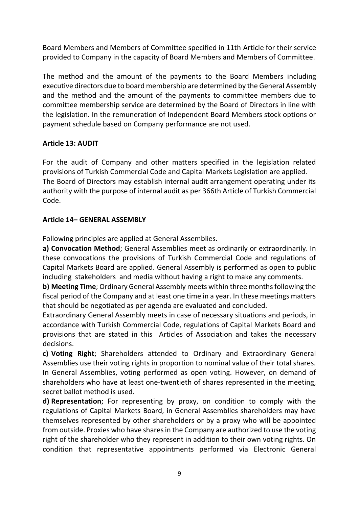Board Members and Members of Committee specified in 11th Article for their service provided to Company in the capacity of Board Members and Members of Committee.

The method and the amount of the payments to the Board Members including executive directors due to board membership are determined by the General Assembly and the method and the amount of the payments to committee members due to committee membership service are determined by the Board of Directors in line with the legislation. In the remuneration of Independent Board Members stock options or payment schedule based on Company performance are not used.

## **Article 13: AUDIT**

For the audit of Company and other matters specified in the legislation related provisions of Turkish Commercial Code and Capital Markets Legislation are applied. The Board of Directors may establish internal audit arrangement operating under its authority with the purpose of internal audit as per 366th Article of Turkish Commercial Code.

# **Article 14– GENERAL ASSEMBLY**

Following principles are applied at General Assemblies.

**a) Convocation Method**; General Assemblies meet as ordinarily or extraordinarily. In these convocations the provisions of Turkish Commercial Code and regulations of Capital Markets Board are applied. General Assembly is performed as open to public including stakeholders and media without having a right to make any comments.

**b) Meeting Time**; Ordinary General Assembly meets within three months following the fiscal period of the Company and at least one time in a year. In these meetings matters that should be negotiated as per agenda are evaluated and concluded.

Extraordinary General Assembly meets in case of necessary situations and periods, in accordance with Turkish Commercial Code, regulations of Capital Markets Board and provisions that are stated in this Articles of Association and takes the necessary decisions.

**c) Voting Right**; Shareholders attended to Ordinary and Extraordinary General Assemblies use their voting rights in proportion to nominal value of their total shares. In General Assemblies, voting performed as open voting. However, on demand of shareholders who have at least one-twentieth of shares represented in the meeting, secret ballot method is used.

**d) Representation**; For representing by proxy, on condition to comply with the regulations of Capital Markets Board, in General Assemblies shareholders may have themselves represented by other shareholders or by a proxy who will be appointed from outside. Proxies who have shares in the Company are authorized to use the voting right of the shareholder who they represent in addition to their own voting rights. On condition that representative appointments performed via Electronic General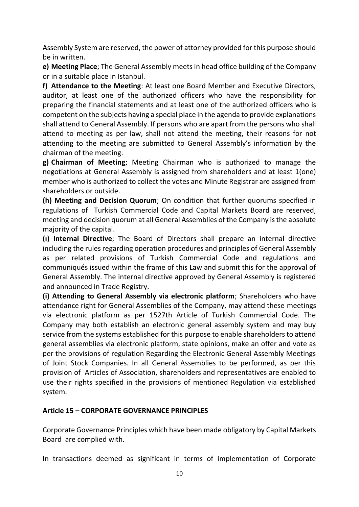Assembly System are reserved, the power of attorney provided for this purpose should be in written.

**e) Meeting Place**; The General Assembly meets in head office building of the Company or in a suitable place in Istanbul.

**f) Attendance to the Meeting**: At least one Board Member and Executive Directors, auditor, at least one of the authorized officers who have the responsibility for preparing the financial statements and at least one of the authorized officers who is competent on the subjects having a special place in the agenda to provide explanations shall attend to General Assembly. If persons who are apart from the persons who shall attend to meeting as per law, shall not attend the meeting, their reasons for not attending to the meeting are submitted to General Assembly's information by the chairman of the meeting.

**g) Chairman of Meeting**; Meeting Chairman who is authorized to manage the negotiations at General Assembly is assigned from shareholders and at least 1(one) member who is authorized to collect the votes and Minute Registrar are assigned from shareholders or outside.

**(h) Meeting and Decision Quorum**; On condition that further quorums specified in regulations of Turkish Commercial Code and Capital Markets Board are reserved, meeting and decision quorum at all General Assemblies of the Company is the absolute majority of the capital.

**(ı) Internal Directive**; The Board of Directors shall prepare an internal directive including the rules regarding operation procedures and principles of General Assembly as per related provisions of Turkish Commercial Code and regulations and communiqués issued within the frame of this Law and submit this for the approval of General Assembly. The internal directive approved by General Assembly is registered and announced in Trade Registry.

**(i) Attending to General Assembly via electronic platform**; Shareholders who have attendance right for General Assemblies of the Company, may attend these meetings via electronic platform as per 1527th Article of Turkish Commercial Code. The Company may both establish an electronic general assembly system and may buy service from the systems established for this purpose to enable shareholders to attend general assemblies via electronic platform, state opinions, make an offer and vote as per the provisions of regulation Regarding the Electronic General Assembly Meetings of Joint Stock Companies. In all General Assemblies to be performed, as per this provision of Articles of Association, shareholders and representatives are enabled to use their rights specified in the provisions of mentioned Regulation via established system.

## **Article 15 – CORPORATE GOVERNANCE PRINCIPLES**

Corporate Governance Principles which have been made obligatory by Capital Markets Board are complied with.

In transactions deemed as significant in terms of implementation of Corporate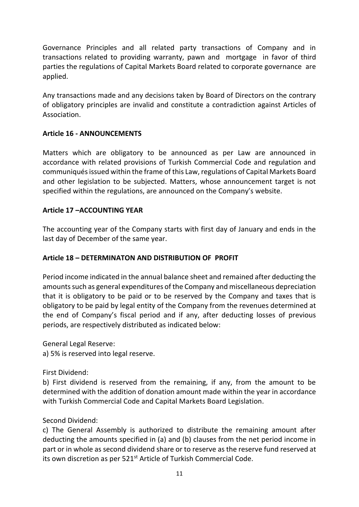Governance Principles and all related party transactions of Company and in transactions related to providing warranty, pawn and mortgage in favor of third parties the regulations of Capital Markets Board related to corporate governance are applied.

Any transactions made and any decisions taken by Board of Directors on the contrary of obligatory principles are invalid and constitute a contradiction against Articles of Association.

# **Article 16 - ANNOUNCEMENTS**

Matters which are obligatory to be announced as per Law are announced in accordance with related provisions of Turkish Commercial Code and regulation and communiqués issued within the frame of this Law, regulations of Capital Markets Board and other legislation to be subjected. Matters, whose announcement target is not specified within the regulations, are announced on the Company's website.

# **Article 17 –ACCOUNTING YEAR**

The accounting year of the Company starts with first day of January and ends in the last day of December of the same year.

# **Article 18 – DETERMINATON AND DISTRIBUTION OF PROFIT**

Period income indicated in the annual balance sheet and remained after deducting the amounts such as general expenditures of the Company and miscellaneous depreciation that it is obligatory to be paid or to be reserved by the Company and taxes that is obligatory to be paid by legal entity of the Company from the revenues determined at the end of Company's fiscal period and if any, after deducting losses of previous periods, are respectively distributed as indicated below:

General Legal Reserve: a) 5% is reserved into legal reserve.

First Dividend:

b) First dividend is reserved from the remaining, if any, from the amount to be determined with the addition of donation amount made within the year in accordance with Turkish Commercial Code and Capital Markets Board Legislation.

## Second Dividend:

c) The General Assembly is authorized to distribute the remaining amount after deducting the amounts specified in (a) and (b) clauses from the net period income in part or in whole as second dividend share or to reserve as the reserve fund reserved at its own discretion as per 521<sup>st</sup> Article of Turkish Commercial Code.